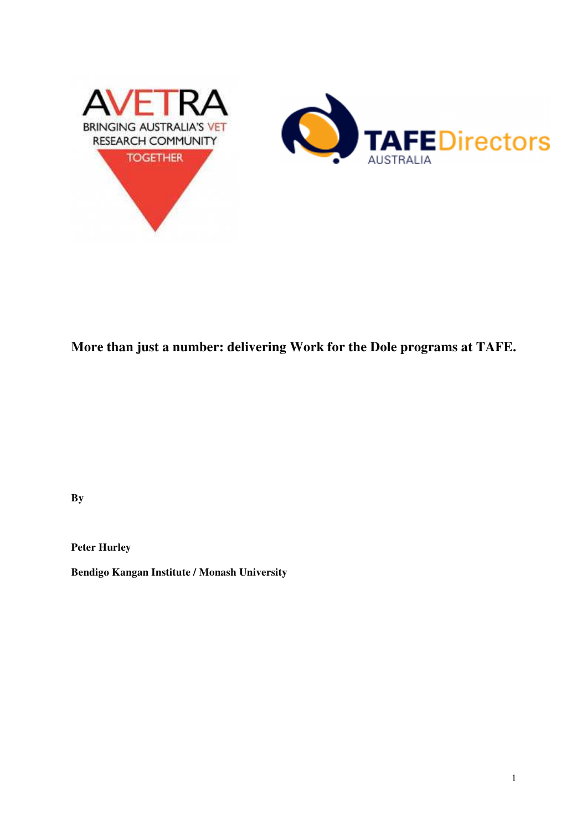

# **More than just a number: delivering Work for the Dole programs at TAFE.**

**By** 

**Peter Hurley** 

**Bendigo Kangan Institute / Monash University**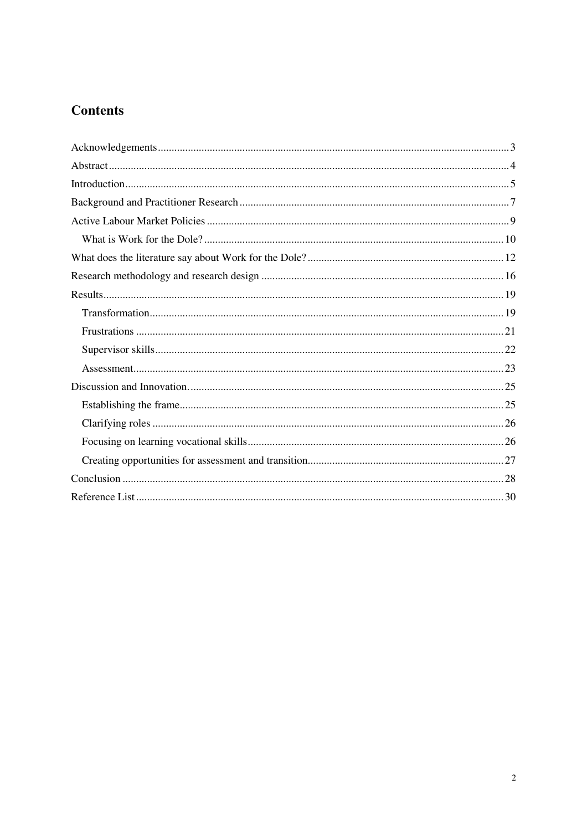# **Contents**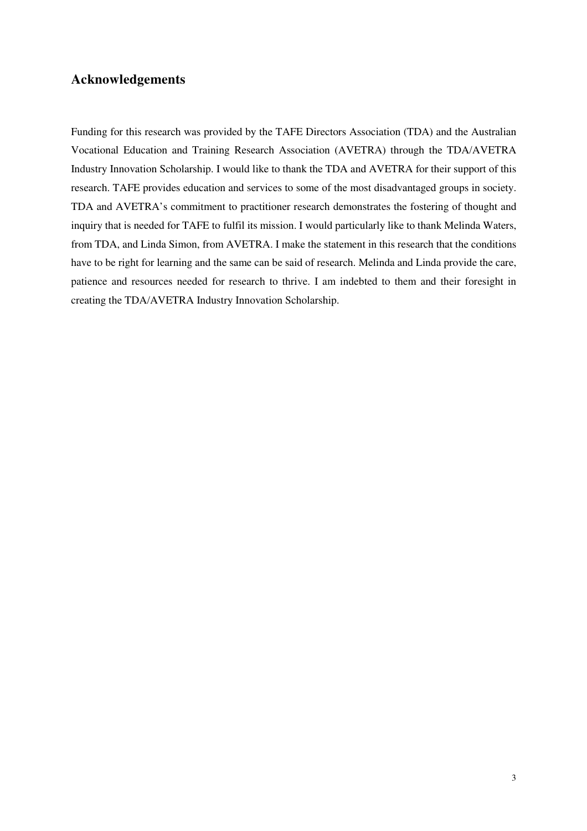# **Acknowledgements**

Funding for this research was provided by the TAFE Directors Association (TDA) and the Australian Vocational Education and Training Research Association (AVETRA) through the TDA/AVETRA Industry Innovation Scholarship. I would like to thank the TDA and AVETRA for their support of this research. TAFE provides education and services to some of the most disadvantaged groups in society. TDA and AVETRA's commitment to practitioner research demonstrates the fostering of thought and inquiry that is needed for TAFE to fulfil its mission. I would particularly like to thank Melinda Waters, from TDA, and Linda Simon, from AVETRA. I make the statement in this research that the conditions have to be right for learning and the same can be said of research. Melinda and Linda provide the care, patience and resources needed for research to thrive. I am indebted to them and their foresight in creating the TDA/AVETRA Industry Innovation Scholarship.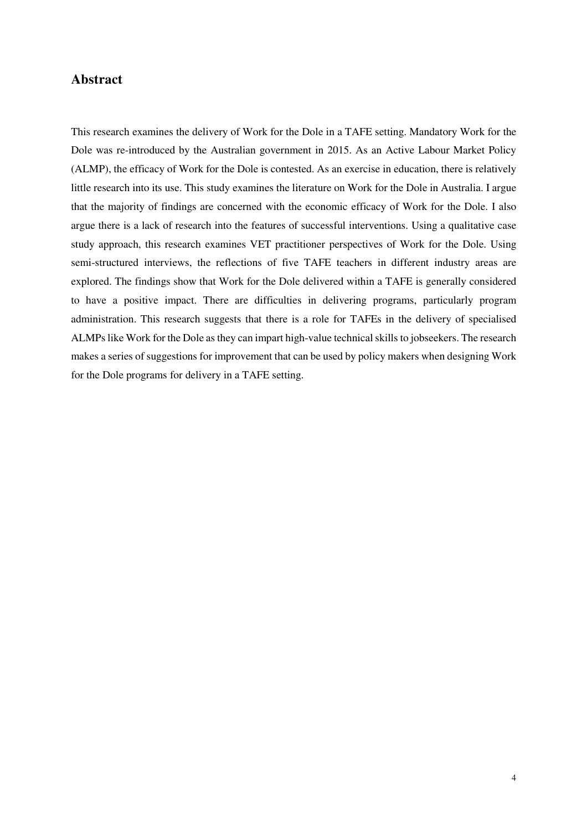## **Abstract**

This research examines the delivery of Work for the Dole in a TAFE setting. Mandatory Work for the Dole was re-introduced by the Australian government in 2015. As an Active Labour Market Policy (ALMP), the efficacy of Work for the Dole is contested. As an exercise in education, there is relatively little research into its use. This study examines the literature on Work for the Dole in Australia. I argue that the majority of findings are concerned with the economic efficacy of Work for the Dole. I also argue there is a lack of research into the features of successful interventions. Using a qualitative case study approach, this research examines VET practitioner perspectives of Work for the Dole. Using semi-structured interviews, the reflections of five TAFE teachers in different industry areas are explored. The findings show that Work for the Dole delivered within a TAFE is generally considered to have a positive impact. There are difficulties in delivering programs, particularly program administration. This research suggests that there is a role for TAFEs in the delivery of specialised ALMPs like Work for the Dole as they can impart high-value technical skills to jobseekers. The research makes a series of suggestions for improvement that can be used by policy makers when designing Work for the Dole programs for delivery in a TAFE setting.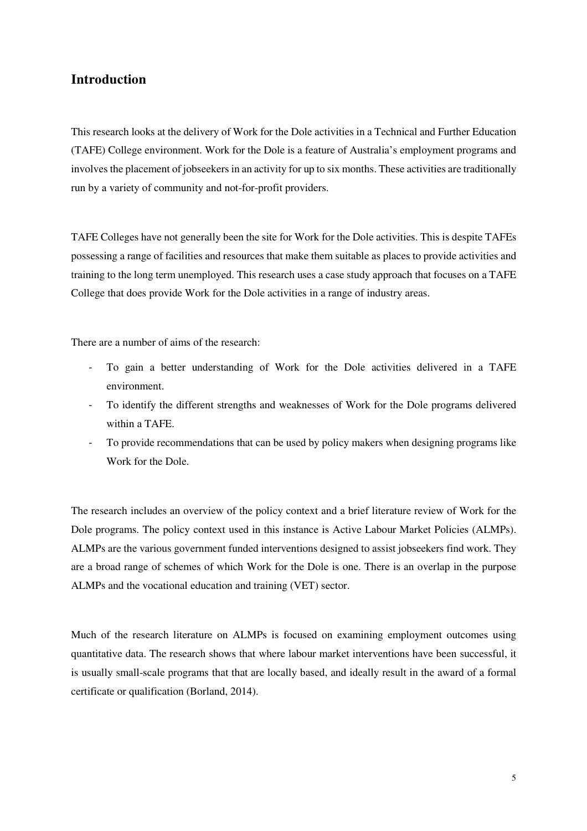# **Introduction**

This research looks at the delivery of Work for the Dole activities in a Technical and Further Education (TAFE) College environment. Work for the Dole is a feature of Australia's employment programs and involves the placement of jobseekers in an activity for up to six months. These activities are traditionally run by a variety of community and not-for-profit providers.

TAFE Colleges have not generally been the site for Work for the Dole activities. This is despite TAFEs possessing a range of facilities and resources that make them suitable as places to provide activities and training to the long term unemployed. This research uses a case study approach that focuses on a TAFE College that does provide Work for the Dole activities in a range of industry areas.

There are a number of aims of the research:

- To gain a better understanding of Work for the Dole activities delivered in a TAFE environment.
- To identify the different strengths and weaknesses of Work for the Dole programs delivered within a TAFE.
- To provide recommendations that can be used by policy makers when designing programs like Work for the Dole.

The research includes an overview of the policy context and a brief literature review of Work for the Dole programs. The policy context used in this instance is Active Labour Market Policies (ALMPs). ALMPs are the various government funded interventions designed to assist jobseekers find work. They are a broad range of schemes of which Work for the Dole is one. There is an overlap in the purpose ALMPs and the vocational education and training (VET) sector.

Much of the research literature on ALMPs is focused on examining employment outcomes using quantitative data. The research shows that where labour market interventions have been successful, it is usually small-scale programs that that are locally based, and ideally result in the award of a formal certificate or qualification (Borland, 2014).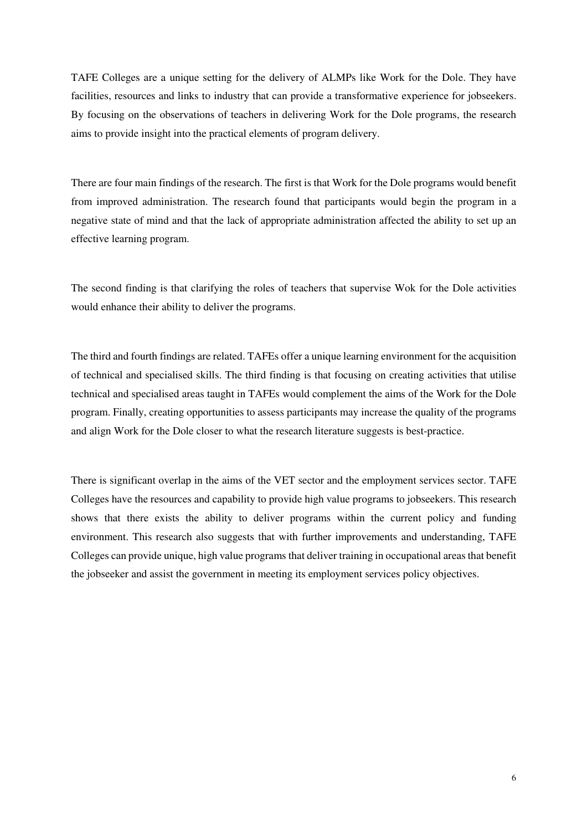TAFE Colleges are a unique setting for the delivery of ALMPs like Work for the Dole. They have facilities, resources and links to industry that can provide a transformative experience for jobseekers. By focusing on the observations of teachers in delivering Work for the Dole programs, the research aims to provide insight into the practical elements of program delivery.

There are four main findings of the research. The first is that Work for the Dole programs would benefit from improved administration. The research found that participants would begin the program in a negative state of mind and that the lack of appropriate administration affected the ability to set up an effective learning program.

The second finding is that clarifying the roles of teachers that supervise Wok for the Dole activities would enhance their ability to deliver the programs.

The third and fourth findings are related. TAFEs offer a unique learning environment for the acquisition of technical and specialised skills. The third finding is that focusing on creating activities that utilise technical and specialised areas taught in TAFEs would complement the aims of the Work for the Dole program. Finally, creating opportunities to assess participants may increase the quality of the programs and align Work for the Dole closer to what the research literature suggests is best-practice.

There is significant overlap in the aims of the VET sector and the employment services sector. TAFE Colleges have the resources and capability to provide high value programs to jobseekers. This research shows that there exists the ability to deliver programs within the current policy and funding environment. This research also suggests that with further improvements and understanding, TAFE Colleges can provide unique, high value programs that deliver training in occupational areas that benefit the jobseeker and assist the government in meeting its employment services policy objectives.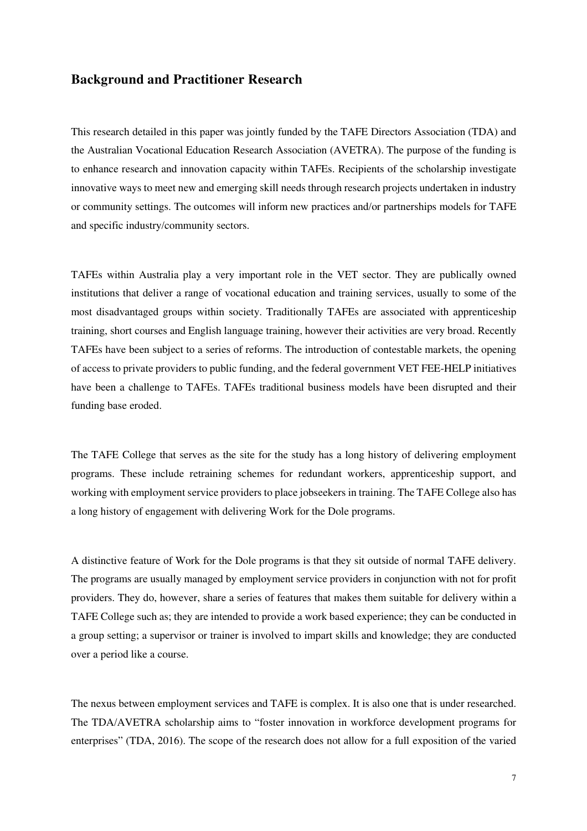### **Background and Practitioner Research**

This research detailed in this paper was jointly funded by the TAFE Directors Association (TDA) and the Australian Vocational Education Research Association (AVETRA). The purpose of the funding is to enhance research and innovation capacity within TAFEs. Recipients of the scholarship investigate innovative ways to meet new and emerging skill needs through research projects undertaken in industry or community settings. The outcomes will inform new practices and/or partnerships models for TAFE and specific industry/community sectors.

TAFEs within Australia play a very important role in the VET sector. They are publically owned institutions that deliver a range of vocational education and training services, usually to some of the most disadvantaged groups within society. Traditionally TAFEs are associated with apprenticeship training, short courses and English language training, however their activities are very broad. Recently TAFEs have been subject to a series of reforms. The introduction of contestable markets, the opening of access to private providers to public funding, and the federal government VET FEE-HELP initiatives have been a challenge to TAFEs. TAFEs traditional business models have been disrupted and their funding base eroded.

The TAFE College that serves as the site for the study has a long history of delivering employment programs. These include retraining schemes for redundant workers, apprenticeship support, and working with employment service providers to place jobseekers in training. The TAFE College also has a long history of engagement with delivering Work for the Dole programs.

A distinctive feature of Work for the Dole programs is that they sit outside of normal TAFE delivery. The programs are usually managed by employment service providers in conjunction with not for profit providers. They do, however, share a series of features that makes them suitable for delivery within a TAFE College such as; they are intended to provide a work based experience; they can be conducted in a group setting; a supervisor or trainer is involved to impart skills and knowledge; they are conducted over a period like a course.

The nexus between employment services and TAFE is complex. It is also one that is under researched. The TDA/AVETRA scholarship aims to "foster innovation in workforce development programs for enterprises" (TDA, 2016). The scope of the research does not allow for a full exposition of the varied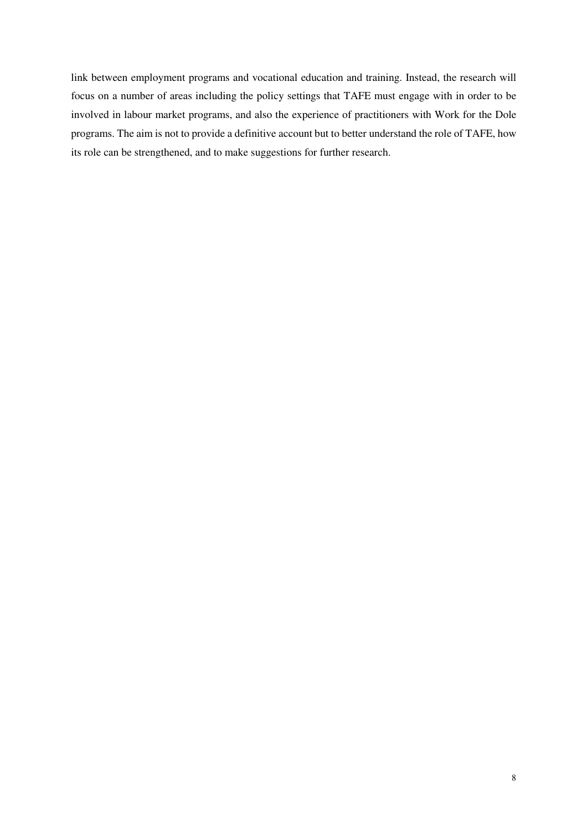link between employment programs and vocational education and training. Instead, the research will focus on a number of areas including the policy settings that TAFE must engage with in order to be involved in labour market programs, and also the experience of practitioners with Work for the Dole programs. The aim is not to provide a definitive account but to better understand the role of TAFE, how its role can be strengthened, and to make suggestions for further research.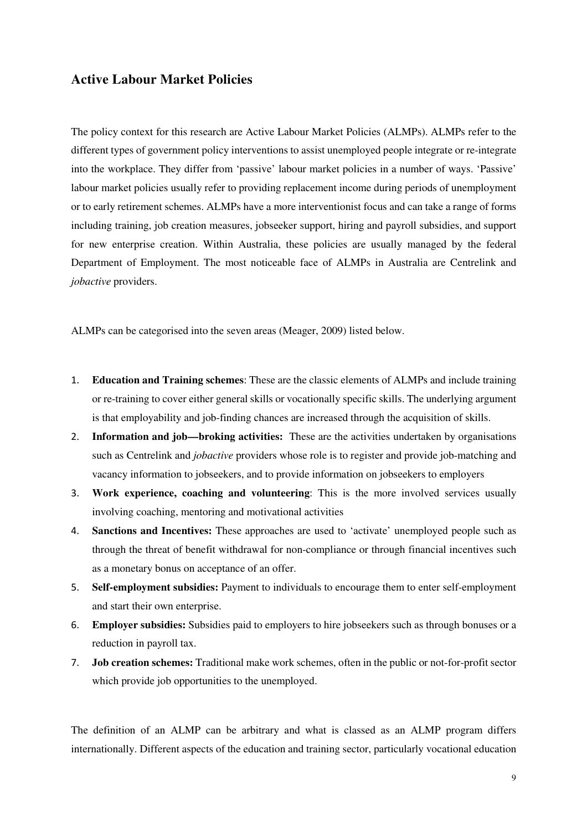## **Active Labour Market Policies**

The policy context for this research are Active Labour Market Policies (ALMPs). ALMPs refer to the different types of government policy interventions to assist unemployed people integrate or re-integrate into the workplace. They differ from 'passive' labour market policies in a number of ways. 'Passive' labour market policies usually refer to providing replacement income during periods of unemployment or to early retirement schemes. ALMPs have a more interventionist focus and can take a range of forms including training, job creation measures, jobseeker support, hiring and payroll subsidies, and support for new enterprise creation. Within Australia, these policies are usually managed by the federal Department of Employment. The most noticeable face of ALMPs in Australia are Centrelink and *jobactive* providers.

ALMPs can be categorised into the seven areas (Meager, 2009) listed below.

- 1. **Education and Training schemes**: These are the classic elements of ALMPs and include training or re-training to cover either general skills or vocationally specific skills. The underlying argument is that employability and job-finding chances are increased through the acquisition of skills.
- 2. **Information and job—broking activities:** These are the activities undertaken by organisations such as Centrelink and *jobactive* providers whose role is to register and provide job-matching and vacancy information to jobseekers, and to provide information on jobseekers to employers
- 3. **Work experience, coaching and volunteering**: This is the more involved services usually involving coaching, mentoring and motivational activities
- 4. **Sanctions and Incentives:** These approaches are used to 'activate' unemployed people such as through the threat of benefit withdrawal for non-compliance or through financial incentives such as a monetary bonus on acceptance of an offer.
- 5. **Self-employment subsidies:** Payment to individuals to encourage them to enter self-employment and start their own enterprise.
- 6. **Employer subsidies:** Subsidies paid to employers to hire jobseekers such as through bonuses or a reduction in payroll tax.
- 7. **Job creation schemes:** Traditional make work schemes, often in the public or not-for-profit sector which provide job opportunities to the unemployed.

The definition of an ALMP can be arbitrary and what is classed as an ALMP program differs internationally. Different aspects of the education and training sector, particularly vocational education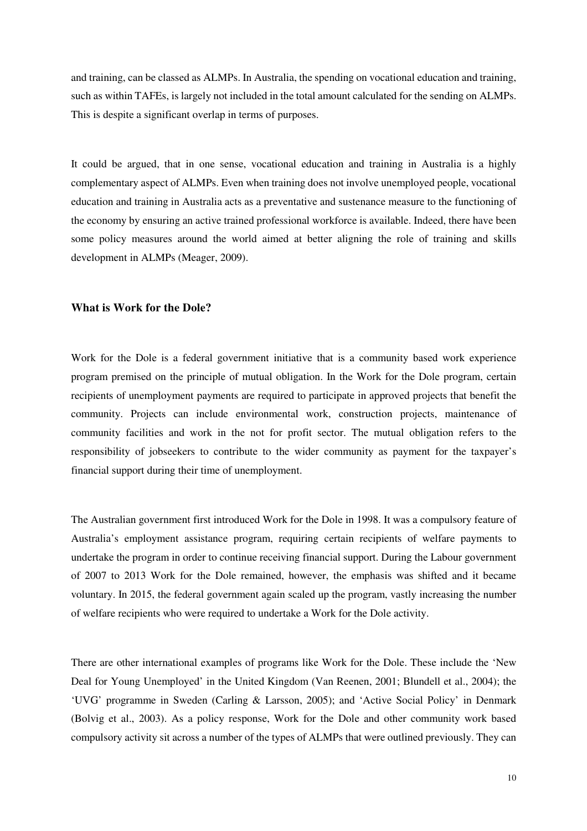and training, can be classed as ALMPs. In Australia, the spending on vocational education and training, such as within TAFEs, is largely not included in the total amount calculated for the sending on ALMPs. This is despite a significant overlap in terms of purposes.

It could be argued, that in one sense, vocational education and training in Australia is a highly complementary aspect of ALMPs. Even when training does not involve unemployed people, vocational education and training in Australia acts as a preventative and sustenance measure to the functioning of the economy by ensuring an active trained professional workforce is available. Indeed, there have been some policy measures around the world aimed at better aligning the role of training and skills development in ALMPs (Meager, 2009).

#### **What is Work for the Dole?**

Work for the Dole is a federal government initiative that is a community based work experience program premised on the principle of mutual obligation. In the Work for the Dole program, certain recipients of unemployment payments are required to participate in approved projects that benefit the community. Projects can include environmental work, construction projects, maintenance of community facilities and work in the not for profit sector. The mutual obligation refers to the responsibility of jobseekers to contribute to the wider community as payment for the taxpayer's financial support during their time of unemployment.

The Australian government first introduced Work for the Dole in 1998. It was a compulsory feature of Australia's employment assistance program, requiring certain recipients of welfare payments to undertake the program in order to continue receiving financial support. During the Labour government of 2007 to 2013 Work for the Dole remained, however, the emphasis was shifted and it became voluntary. In 2015, the federal government again scaled up the program, vastly increasing the number of welfare recipients who were required to undertake a Work for the Dole activity.

There are other international examples of programs like Work for the Dole. These include the 'New Deal for Young Unemployed' in the United Kingdom (Van Reenen, 2001; Blundell et al., 2004); the 'UVG' programme in Sweden (Carling & Larsson, 2005); and 'Active Social Policy' in Denmark (Bolvig et al., 2003). As a policy response, Work for the Dole and other community work based compulsory activity sit across a number of the types of ALMPs that were outlined previously. They can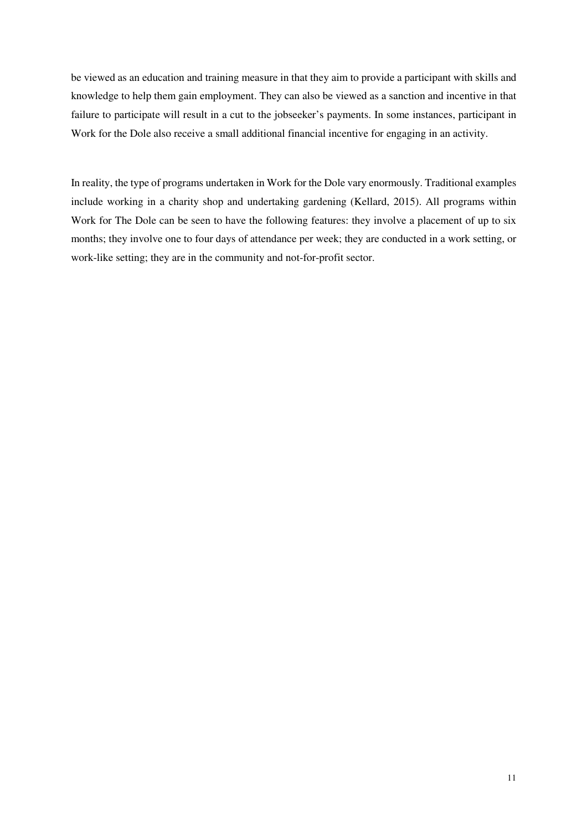be viewed as an education and training measure in that they aim to provide a participant with skills and knowledge to help them gain employment. They can also be viewed as a sanction and incentive in that failure to participate will result in a cut to the jobseeker's payments. In some instances, participant in Work for the Dole also receive a small additional financial incentive for engaging in an activity.

In reality, the type of programs undertaken in Work for the Dole vary enormously. Traditional examples include working in a charity shop and undertaking gardening (Kellard, 2015). All programs within Work for The Dole can be seen to have the following features: they involve a placement of up to six months; they involve one to four days of attendance per week; they are conducted in a work setting, or work-like setting; they are in the community and not-for-profit sector.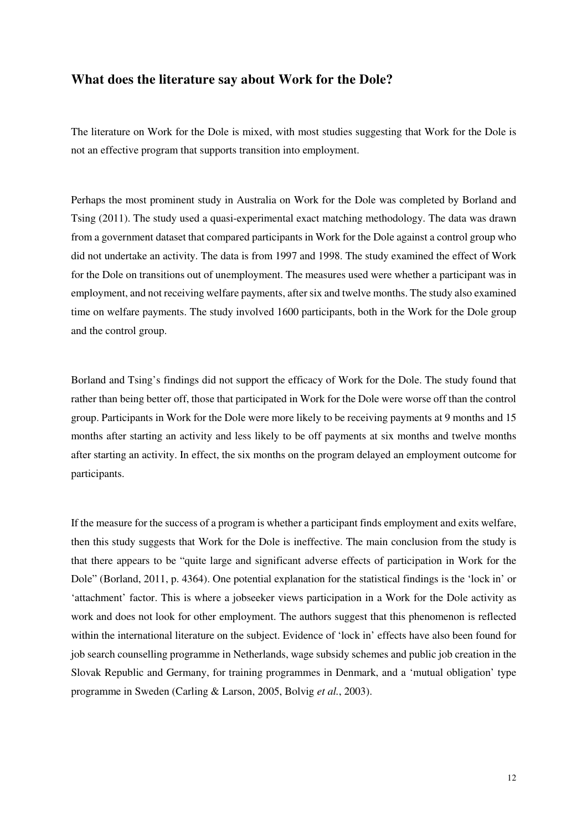#### **What does the literature say about Work for the Dole?**

The literature on Work for the Dole is mixed, with most studies suggesting that Work for the Dole is not an effective program that supports transition into employment.

Perhaps the most prominent study in Australia on Work for the Dole was completed by Borland and Tsing (2011). The study used a quasi-experimental exact matching methodology. The data was drawn from a government dataset that compared participants in Work for the Dole against a control group who did not undertake an activity. The data is from 1997 and 1998. The study examined the effect of Work for the Dole on transitions out of unemployment. The measures used were whether a participant was in employment, and not receiving welfare payments, after six and twelve months. The study also examined time on welfare payments. The study involved 1600 participants, both in the Work for the Dole group and the control group.

Borland and Tsing's findings did not support the efficacy of Work for the Dole. The study found that rather than being better off, those that participated in Work for the Dole were worse off than the control group. Participants in Work for the Dole were more likely to be receiving payments at 9 months and 15 months after starting an activity and less likely to be off payments at six months and twelve months after starting an activity. In effect, the six months on the program delayed an employment outcome for participants.

If the measure for the success of a program is whether a participant finds employment and exits welfare, then this study suggests that Work for the Dole is ineffective. The main conclusion from the study is that there appears to be "quite large and significant adverse effects of participation in Work for the Dole" (Borland, 2011, p. 4364). One potential explanation for the statistical findings is the 'lock in' or 'attachment' factor. This is where a jobseeker views participation in a Work for the Dole activity as work and does not look for other employment. The authors suggest that this phenomenon is reflected within the international literature on the subject. Evidence of 'lock in' effects have also been found for job search counselling programme in Netherlands, wage subsidy schemes and public job creation in the Slovak Republic and Germany, for training programmes in Denmark, and a 'mutual obligation' type programme in Sweden (Carling & Larson, 2005, Bolvig *et al.*, 2003).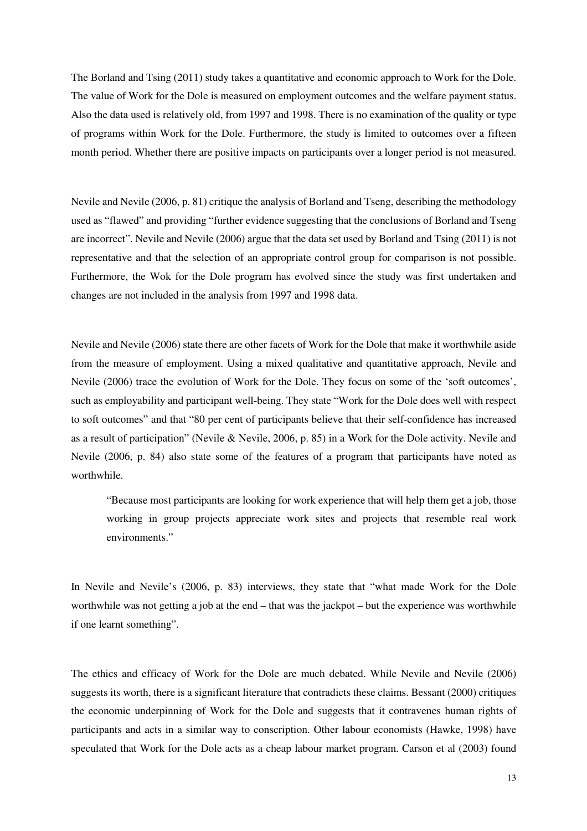The Borland and Tsing (2011) study takes a quantitative and economic approach to Work for the Dole. The value of Work for the Dole is measured on employment outcomes and the welfare payment status. Also the data used is relatively old, from 1997 and 1998. There is no examination of the quality or type of programs within Work for the Dole. Furthermore, the study is limited to outcomes over a fifteen month period. Whether there are positive impacts on participants over a longer period is not measured.

Nevile and Nevile (2006, p. 81) critique the analysis of Borland and Tseng, describing the methodology used as "flawed" and providing "further evidence suggesting that the conclusions of Borland and Tseng are incorrect". Nevile and Nevile (2006) argue that the data set used by Borland and Tsing (2011) is not representative and that the selection of an appropriate control group for comparison is not possible. Furthermore, the Wok for the Dole program has evolved since the study was first undertaken and changes are not included in the analysis from 1997 and 1998 data.

Nevile and Nevile (2006) state there are other facets of Work for the Dole that make it worthwhile aside from the measure of employment. Using a mixed qualitative and quantitative approach, Nevile and Nevile (2006) trace the evolution of Work for the Dole. They focus on some of the 'soft outcomes', such as employability and participant well-being. They state "Work for the Dole does well with respect to soft outcomes" and that "80 per cent of participants believe that their self-confidence has increased as a result of participation" (Nevile & Nevile, 2006, p. 85) in a Work for the Dole activity. Nevile and Nevile (2006, p. 84) also state some of the features of a program that participants have noted as worthwhile.

"Because most participants are looking for work experience that will help them get a job, those working in group projects appreciate work sites and projects that resemble real work environments."

In Nevile and Nevile's (2006, p. 83) interviews, they state that "what made Work for the Dole worthwhile was not getting a job at the end – that was the jackpot – but the experience was worthwhile if one learnt something".

The ethics and efficacy of Work for the Dole are much debated. While Nevile and Nevile (2006) suggests its worth, there is a significant literature that contradicts these claims. Bessant (2000) critiques the economic underpinning of Work for the Dole and suggests that it contravenes human rights of participants and acts in a similar way to conscription. Other labour economists (Hawke, 1998) have speculated that Work for the Dole acts as a cheap labour market program. Carson et al (2003) found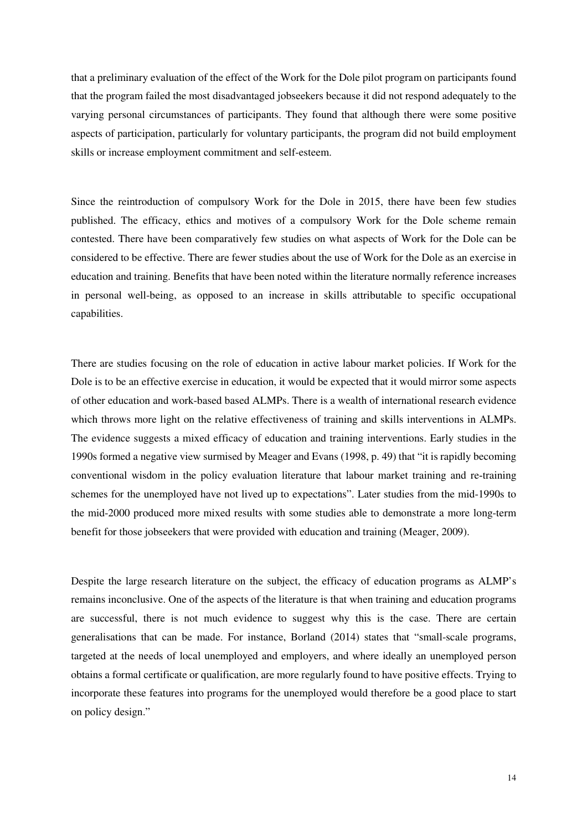that a preliminary evaluation of the effect of the Work for the Dole pilot program on participants found that the program failed the most disadvantaged jobseekers because it did not respond adequately to the varying personal circumstances of participants. They found that although there were some positive aspects of participation, particularly for voluntary participants, the program did not build employment skills or increase employment commitment and self-esteem.

Since the reintroduction of compulsory Work for the Dole in 2015, there have been few studies published. The efficacy, ethics and motives of a compulsory Work for the Dole scheme remain contested. There have been comparatively few studies on what aspects of Work for the Dole can be considered to be effective. There are fewer studies about the use of Work for the Dole as an exercise in education and training. Benefits that have been noted within the literature normally reference increases in personal well-being, as opposed to an increase in skills attributable to specific occupational capabilities.

There are studies focusing on the role of education in active labour market policies. If Work for the Dole is to be an effective exercise in education, it would be expected that it would mirror some aspects of other education and work-based based ALMPs. There is a wealth of international research evidence which throws more light on the relative effectiveness of training and skills interventions in ALMPs. The evidence suggests a mixed efficacy of education and training interventions. Early studies in the 1990s formed a negative view surmised by Meager and Evans (1998, p. 49) that "it is rapidly becoming conventional wisdom in the policy evaluation literature that labour market training and re‐training schemes for the unemployed have not lived up to expectations". Later studies from the mid-1990s to the mid-2000 produced more mixed results with some studies able to demonstrate a more long-term benefit for those jobseekers that were provided with education and training (Meager, 2009).

Despite the large research literature on the subject, the efficacy of education programs as ALMP's remains inconclusive. One of the aspects of the literature is that when training and education programs are successful, there is not much evidence to suggest why this is the case. There are certain generalisations that can be made. For instance, Borland (2014) states that "small-scale programs, targeted at the needs of local unemployed and employers, and where ideally an unemployed person obtains a formal certificate or qualification, are more regularly found to have positive effects. Trying to incorporate these features into programs for the unemployed would therefore be a good place to start on policy design."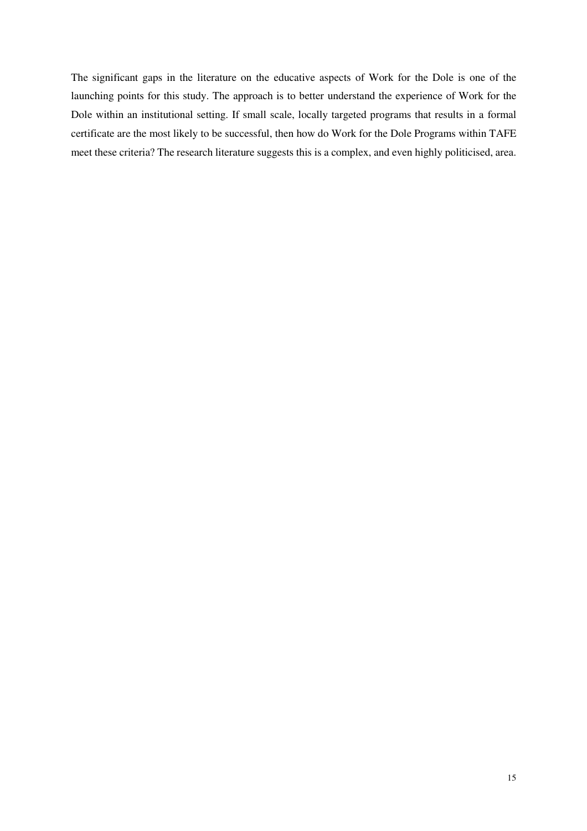The significant gaps in the literature on the educative aspects of Work for the Dole is one of the launching points for this study. The approach is to better understand the experience of Work for the Dole within an institutional setting. If small scale, locally targeted programs that results in a formal certificate are the most likely to be successful, then how do Work for the Dole Programs within TAFE meet these criteria? The research literature suggests this is a complex, and even highly politicised, area.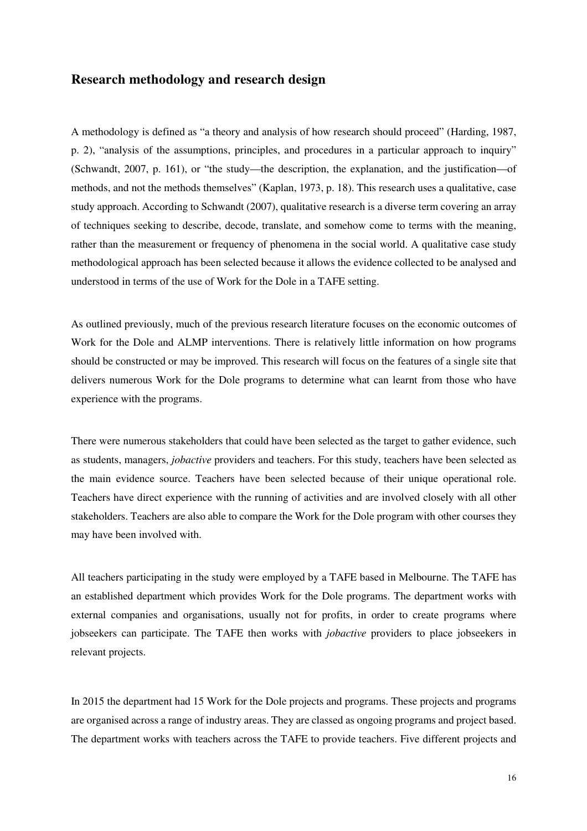### **Research methodology and research design**

A methodology is defined as "a theory and analysis of how research should proceed" (Harding, 1987, p. 2), "analysis of the assumptions, principles, and procedures in a particular approach to inquiry" (Schwandt, 2007, p. 161), or "the study—the description, the explanation, and the justification—of methods, and not the methods themselves" (Kaplan, 1973, p. 18). This research uses a qualitative, case study approach. According to Schwandt (2007), qualitative research is a diverse term covering an array of techniques seeking to describe, decode, translate, and somehow come to terms with the meaning, rather than the measurement or frequency of phenomena in the social world. A qualitative case study methodological approach has been selected because it allows the evidence collected to be analysed and understood in terms of the use of Work for the Dole in a TAFE setting.

As outlined previously, much of the previous research literature focuses on the economic outcomes of Work for the Dole and ALMP interventions. There is relatively little information on how programs should be constructed or may be improved. This research will focus on the features of a single site that delivers numerous Work for the Dole programs to determine what can learnt from those who have experience with the programs.

There were numerous stakeholders that could have been selected as the target to gather evidence, such as students, managers, *jobactive* providers and teachers. For this study, teachers have been selected as the main evidence source. Teachers have been selected because of their unique operational role. Teachers have direct experience with the running of activities and are involved closely with all other stakeholders. Teachers are also able to compare the Work for the Dole program with other courses they may have been involved with.

All teachers participating in the study were employed by a TAFE based in Melbourne. The TAFE has an established department which provides Work for the Dole programs. The department works with external companies and organisations, usually not for profits, in order to create programs where jobseekers can participate. The TAFE then works with *jobactive* providers to place jobseekers in relevant projects.

In 2015 the department had 15 Work for the Dole projects and programs. These projects and programs are organised across a range of industry areas. They are classed as ongoing programs and project based. The department works with teachers across the TAFE to provide teachers. Five different projects and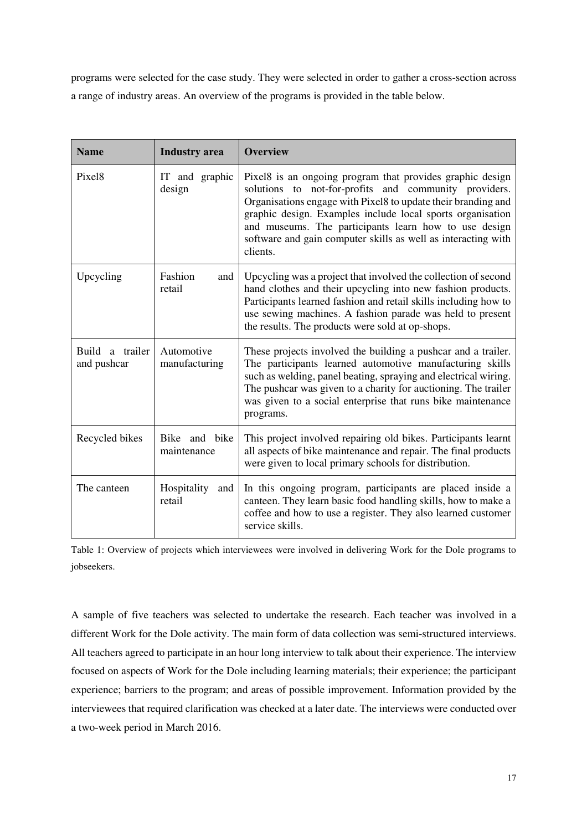programs were selected for the case study. They were selected in order to gather a cross-section across a range of industry areas. An overview of the programs is provided in the table below.

| <b>Name</b>                    | <b>Industry</b> area         | <b>Overview</b>                                                                                                                                                                                                                                                                                                                                                                         |
|--------------------------------|------------------------------|-----------------------------------------------------------------------------------------------------------------------------------------------------------------------------------------------------------------------------------------------------------------------------------------------------------------------------------------------------------------------------------------|
| Pixel <sub>8</sub>             | IT and graphic<br>design     | Pixel8 is an ongoing program that provides graphic design<br>solutions to not-for-profits and community providers.<br>Organisations engage with Pixel8 to update their branding and<br>graphic design. Examples include local sports organisation<br>and museums. The participants learn how to use design<br>software and gain computer skills as well as interacting with<br>clients. |
| Upcycling                      | Fashion<br>and<br>retail     | Upcycling was a project that involved the collection of second<br>hand clothes and their upcycling into new fashion products.<br>Participants learned fashion and retail skills including how to<br>use sewing machines. A fashion parade was held to present<br>the results. The products were sold at op-shops.                                                                       |
| Build a trailer<br>and pushcar | Automotive<br>manufacturing  | These projects involved the building a pushcar and a trailer.<br>The participants learned automotive manufacturing skills<br>such as welding, panel beating, spraying and electrical wiring.<br>The pushcar was given to a charity for auctioning. The trailer<br>was given to a social enterprise that runs bike maintenance<br>programs.                                              |
| Recycled bikes                 | Bike and bike<br>maintenance | This project involved repairing old bikes. Participants learnt<br>all aspects of bike maintenance and repair. The final products<br>were given to local primary schools for distribution.                                                                                                                                                                                               |
| The canteen                    | Hospitality<br>and<br>retail | In this ongoing program, participants are placed inside a<br>canteen. They learn basic food handling skills, how to make a<br>coffee and how to use a register. They also learned customer<br>service skills.                                                                                                                                                                           |

Table 1: Overview of projects which interviewees were involved in delivering Work for the Dole programs to jobseekers.

A sample of five teachers was selected to undertake the research. Each teacher was involved in a different Work for the Dole activity. The main form of data collection was semi-structured interviews. All teachers agreed to participate in an hour long interview to talk about their experience. The interview focused on aspects of Work for the Dole including learning materials; their experience; the participant experience; barriers to the program; and areas of possible improvement. Information provided by the interviewees that required clarification was checked at a later date. The interviews were conducted over a two-week period in March 2016.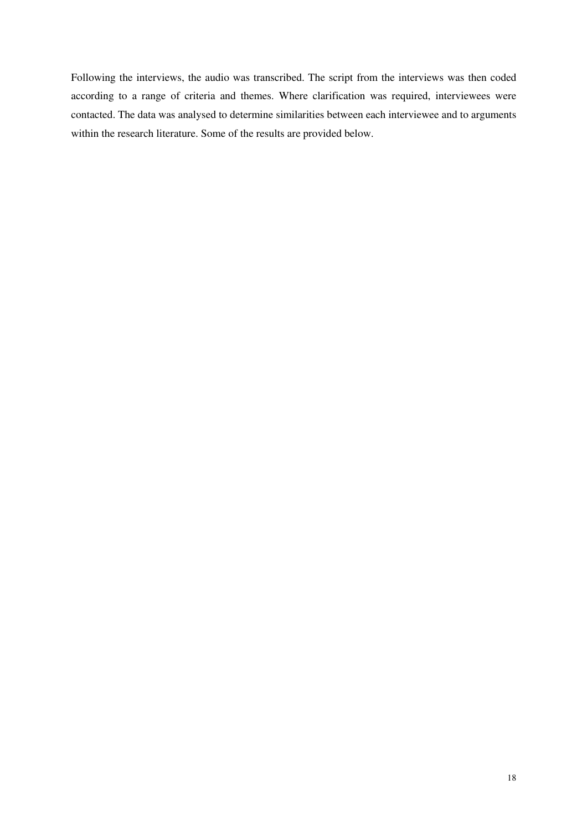Following the interviews, the audio was transcribed. The script from the interviews was then coded according to a range of criteria and themes. Where clarification was required, interviewees were contacted. The data was analysed to determine similarities between each interviewee and to arguments within the research literature. Some of the results are provided below.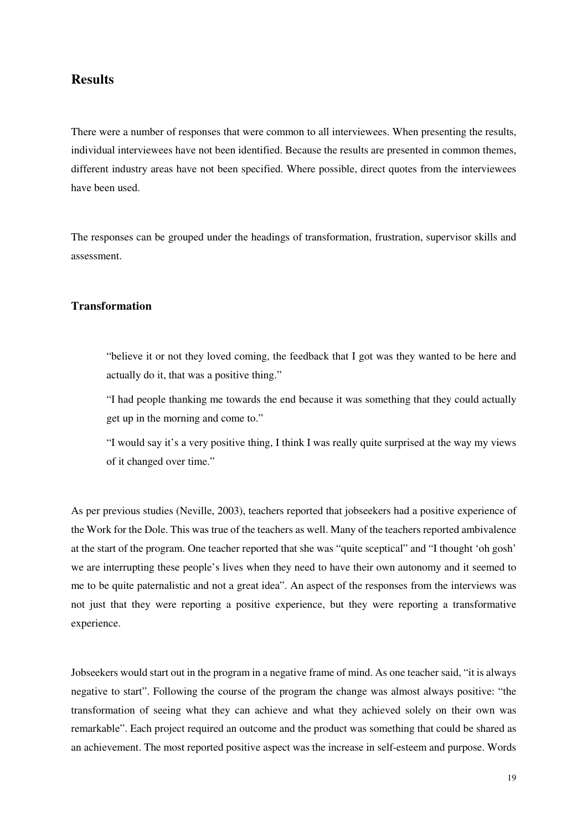## **Results**

There were a number of responses that were common to all interviewees. When presenting the results, individual interviewees have not been identified. Because the results are presented in common themes, different industry areas have not been specified. Where possible, direct quotes from the interviewees have been used.

The responses can be grouped under the headings of transformation, frustration, supervisor skills and assessment.

#### **Transformation**

"believe it or not they loved coming, the feedback that I got was they wanted to be here and actually do it, that was a positive thing."

"I had people thanking me towards the end because it was something that they could actually get up in the morning and come to."

"I would say it's a very positive thing, I think I was really quite surprised at the way my views of it changed over time."

As per previous studies (Neville, 2003), teachers reported that jobseekers had a positive experience of the Work for the Dole. This was true of the teachers as well. Many of the teachers reported ambivalence at the start of the program. One teacher reported that she was "quite sceptical" and "I thought 'oh gosh' we are interrupting these people's lives when they need to have their own autonomy and it seemed to me to be quite paternalistic and not a great idea". An aspect of the responses from the interviews was not just that they were reporting a positive experience, but they were reporting a transformative experience.

Jobseekers would start out in the program in a negative frame of mind. As one teacher said, "it is always negative to start". Following the course of the program the change was almost always positive: "the transformation of seeing what they can achieve and what they achieved solely on their own was remarkable". Each project required an outcome and the product was something that could be shared as an achievement. The most reported positive aspect was the increase in self-esteem and purpose. Words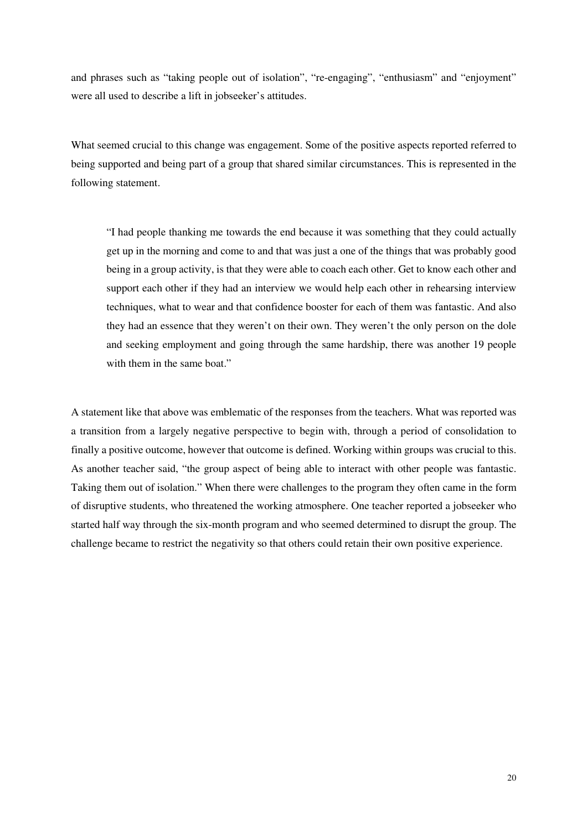and phrases such as "taking people out of isolation", "re-engaging", "enthusiasm" and "enjoyment" were all used to describe a lift in jobseeker's attitudes.

What seemed crucial to this change was engagement. Some of the positive aspects reported referred to being supported and being part of a group that shared similar circumstances. This is represented in the following statement.

"I had people thanking me towards the end because it was something that they could actually get up in the morning and come to and that was just a one of the things that was probably good being in a group activity, is that they were able to coach each other. Get to know each other and support each other if they had an interview we would help each other in rehearsing interview techniques, what to wear and that confidence booster for each of them was fantastic. And also they had an essence that they weren't on their own. They weren't the only person on the dole and seeking employment and going through the same hardship, there was another 19 people with them in the same boat."

A statement like that above was emblematic of the responses from the teachers. What was reported was a transition from a largely negative perspective to begin with, through a period of consolidation to finally a positive outcome, however that outcome is defined. Working within groups was crucial to this. As another teacher said, "the group aspect of being able to interact with other people was fantastic. Taking them out of isolation." When there were challenges to the program they often came in the form of disruptive students, who threatened the working atmosphere. One teacher reported a jobseeker who started half way through the six-month program and who seemed determined to disrupt the group. The challenge became to restrict the negativity so that others could retain their own positive experience.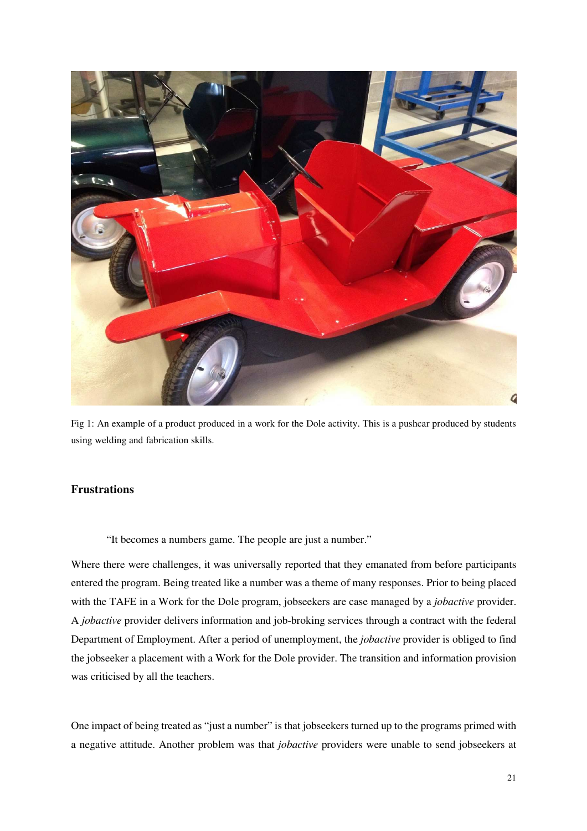

Fig 1: An example of a product produced in a work for the Dole activity. This is a pushcar produced by students using welding and fabrication skills.

#### **Frustrations**

"It becomes a numbers game. The people are just a number."

Where there were challenges, it was universally reported that they emanated from before participants entered the program. Being treated like a number was a theme of many responses. Prior to being placed with the TAFE in a Work for the Dole program, jobseekers are case managed by a *jobactive* provider. A *jobactive* provider delivers information and job-broking services through a contract with the federal Department of Employment. After a period of unemployment, the *jobactive* provider is obliged to find the jobseeker a placement with a Work for the Dole provider. The transition and information provision was criticised by all the teachers.

One impact of being treated as "just a number" is that jobseekers turned up to the programs primed with a negative attitude. Another problem was that *jobactive* providers were unable to send jobseekers at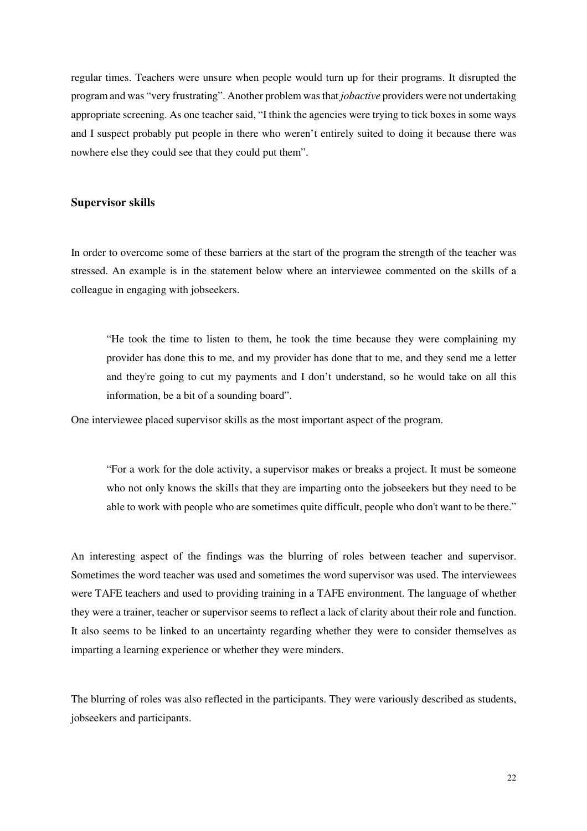regular times. Teachers were unsure when people would turn up for their programs. It disrupted the program and was "very frustrating". Another problem was that *jobactive* providers were not undertaking appropriate screening. As one teacher said, "I think the agencies were trying to tick boxes in some ways and I suspect probably put people in there who weren't entirely suited to doing it because there was nowhere else they could see that they could put them".

#### **Supervisor skills**

In order to overcome some of these barriers at the start of the program the strength of the teacher was stressed. An example is in the statement below where an interviewee commented on the skills of a colleague in engaging with jobseekers.

"He took the time to listen to them, he took the time because they were complaining my provider has done this to me, and my provider has done that to me, and they send me a letter and they're going to cut my payments and I don't understand, so he would take on all this information, be a bit of a sounding board".

One interviewee placed supervisor skills as the most important aspect of the program.

"For a work for the dole activity, a supervisor makes or breaks a project. It must be someone who not only knows the skills that they are imparting onto the jobseekers but they need to be able to work with people who are sometimes quite difficult, people who don't want to be there."

An interesting aspect of the findings was the blurring of roles between teacher and supervisor. Sometimes the word teacher was used and sometimes the word supervisor was used. The interviewees were TAFE teachers and used to providing training in a TAFE environment. The language of whether they were a trainer, teacher or supervisor seems to reflect a lack of clarity about their role and function. It also seems to be linked to an uncertainty regarding whether they were to consider themselves as imparting a learning experience or whether they were minders.

The blurring of roles was also reflected in the participants. They were variously described as students, jobseekers and participants.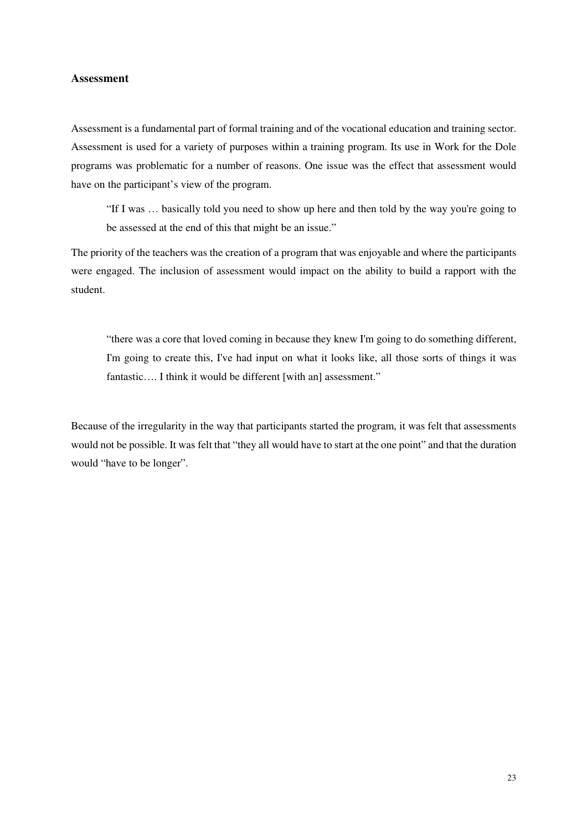#### **Assessment**

Assessment is a fundamental part of formal training and of the vocational education and training sector. Assessment is used for a variety of purposes within a training program. Its use in Work for the Dole programs was problematic for a number of reasons. One issue was the effect that assessment would have on the participant's view of the program.

"If I was … basically told you need to show up here and then told by the way you're going to be assessed at the end of this that might be an issue."

The priority of the teachers was the creation of a program that was enjoyable and where the participants were engaged. The inclusion of assessment would impact on the ability to build a rapport with the student.

"there was a core that loved coming in because they knew I'm going to do something different, I'm going to create this, I've had input on what it looks like, all those sorts of things it was fantastic.... I think it would be different [with an] assessment."

Because of the irregularity in the way that participants started the program, it was felt that assessments would not be possible. It was felt that "they all would have to start at the one point" and that the duration would "have to be longer".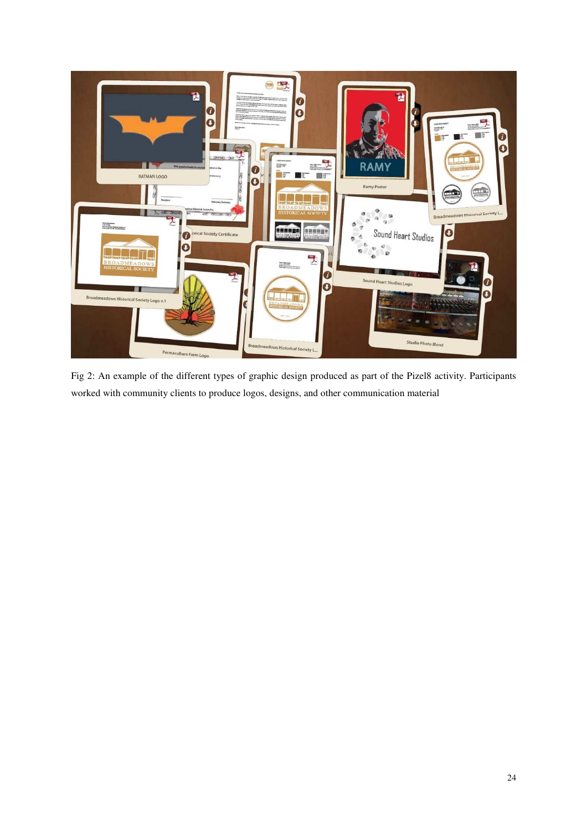

Fig 2: An example of the different types of graphic design produced as part of the Pizel8 activity. Participants worked with community clients to produce logos, designs, and other communication material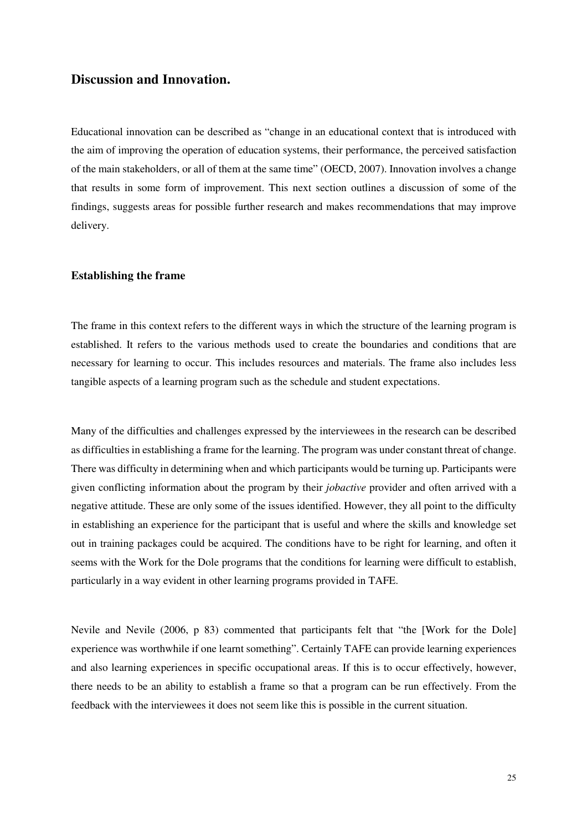## **Discussion and Innovation.**

Educational innovation can be described as "change in an educational context that is introduced with the aim of improving the operation of education systems, their performance, the perceived satisfaction of the main stakeholders, or all of them at the same time" (OECD, 2007). Innovation involves a change that results in some form of improvement. This next section outlines a discussion of some of the findings, suggests areas for possible further research and makes recommendations that may improve delivery.

#### **Establishing the frame**

The frame in this context refers to the different ways in which the structure of the learning program is established. It refers to the various methods used to create the boundaries and conditions that are necessary for learning to occur. This includes resources and materials. The frame also includes less tangible aspects of a learning program such as the schedule and student expectations.

Many of the difficulties and challenges expressed by the interviewees in the research can be described as difficulties in establishing a frame for the learning. The program was under constant threat of change. There was difficulty in determining when and which participants would be turning up. Participants were given conflicting information about the program by their *jobactive* provider and often arrived with a negative attitude. These are only some of the issues identified. However, they all point to the difficulty in establishing an experience for the participant that is useful and where the skills and knowledge set out in training packages could be acquired. The conditions have to be right for learning, and often it seems with the Work for the Dole programs that the conditions for learning were difficult to establish, particularly in a way evident in other learning programs provided in TAFE.

Nevile and Nevile (2006, p 83) commented that participants felt that "the [Work for the Dole] experience was worthwhile if one learnt something". Certainly TAFE can provide learning experiences and also learning experiences in specific occupational areas. If this is to occur effectively, however, there needs to be an ability to establish a frame so that a program can be run effectively. From the feedback with the interviewees it does not seem like this is possible in the current situation.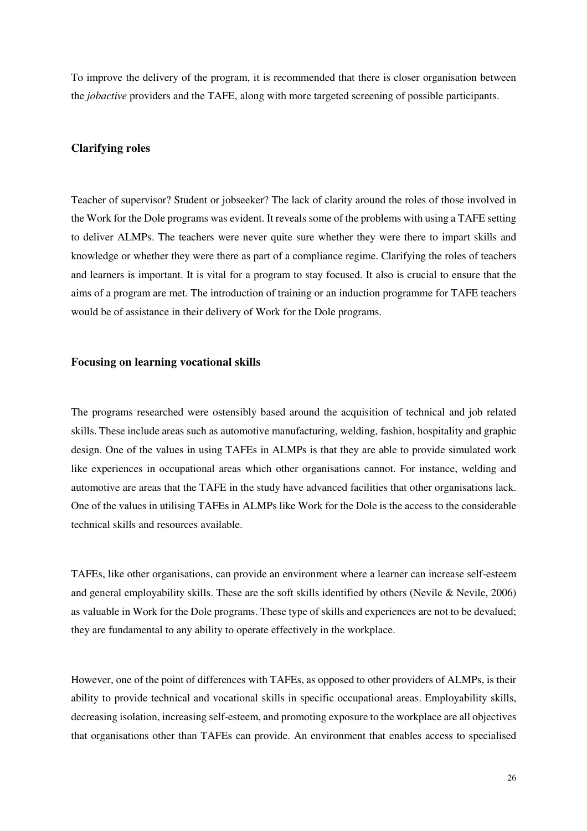To improve the delivery of the program, it is recommended that there is closer organisation between the *jobactive* providers and the TAFE, along with more targeted screening of possible participants.

#### **Clarifying roles**

Teacher of supervisor? Student or jobseeker? The lack of clarity around the roles of those involved in the Work for the Dole programs was evident. It reveals some of the problems with using a TAFE setting to deliver ALMPs. The teachers were never quite sure whether they were there to impart skills and knowledge or whether they were there as part of a compliance regime. Clarifying the roles of teachers and learners is important. It is vital for a program to stay focused. It also is crucial to ensure that the aims of a program are met. The introduction of training or an induction programme for TAFE teachers would be of assistance in their delivery of Work for the Dole programs.

#### **Focusing on learning vocational skills**

The programs researched were ostensibly based around the acquisition of technical and job related skills. These include areas such as automotive manufacturing, welding, fashion, hospitality and graphic design. One of the values in using TAFEs in ALMPs is that they are able to provide simulated work like experiences in occupational areas which other organisations cannot. For instance, welding and automotive are areas that the TAFE in the study have advanced facilities that other organisations lack. One of the values in utilising TAFEs in ALMPs like Work for the Dole is the access to the considerable technical skills and resources available.

TAFEs, like other organisations, can provide an environment where a learner can increase self-esteem and general employability skills. These are the soft skills identified by others (Nevile & Nevile, 2006) as valuable in Work for the Dole programs. These type of skills and experiences are not to be devalued; they are fundamental to any ability to operate effectively in the workplace.

However, one of the point of differences with TAFEs, as opposed to other providers of ALMPs, is their ability to provide technical and vocational skills in specific occupational areas. Employability skills, decreasing isolation, increasing self-esteem, and promoting exposure to the workplace are all objectives that organisations other than TAFEs can provide. An environment that enables access to specialised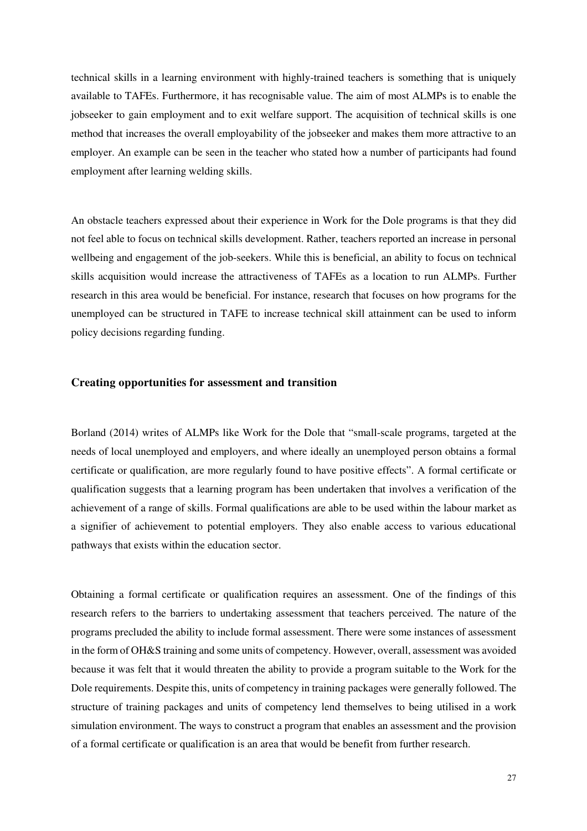technical skills in a learning environment with highly-trained teachers is something that is uniquely available to TAFEs. Furthermore, it has recognisable value. The aim of most ALMPs is to enable the jobseeker to gain employment and to exit welfare support. The acquisition of technical skills is one method that increases the overall employability of the jobseeker and makes them more attractive to an employer. An example can be seen in the teacher who stated how a number of participants had found employment after learning welding skills.

An obstacle teachers expressed about their experience in Work for the Dole programs is that they did not feel able to focus on technical skills development. Rather, teachers reported an increase in personal wellbeing and engagement of the job-seekers. While this is beneficial, an ability to focus on technical skills acquisition would increase the attractiveness of TAFEs as a location to run ALMPs. Further research in this area would be beneficial. For instance, research that focuses on how programs for the unemployed can be structured in TAFE to increase technical skill attainment can be used to inform policy decisions regarding funding.

#### **Creating opportunities for assessment and transition**

Borland (2014) writes of ALMPs like Work for the Dole that "small-scale programs, targeted at the needs of local unemployed and employers, and where ideally an unemployed person obtains a formal certificate or qualification, are more regularly found to have positive effects". A formal certificate or qualification suggests that a learning program has been undertaken that involves a verification of the achievement of a range of skills. Formal qualifications are able to be used within the labour market as a signifier of achievement to potential employers. They also enable access to various educational pathways that exists within the education sector.

Obtaining a formal certificate or qualification requires an assessment. One of the findings of this research refers to the barriers to undertaking assessment that teachers perceived. The nature of the programs precluded the ability to include formal assessment. There were some instances of assessment in the form of OH&S training and some units of competency. However, overall, assessment was avoided because it was felt that it would threaten the ability to provide a program suitable to the Work for the Dole requirements. Despite this, units of competency in training packages were generally followed. The structure of training packages and units of competency lend themselves to being utilised in a work simulation environment. The ways to construct a program that enables an assessment and the provision of a formal certificate or qualification is an area that would be benefit from further research.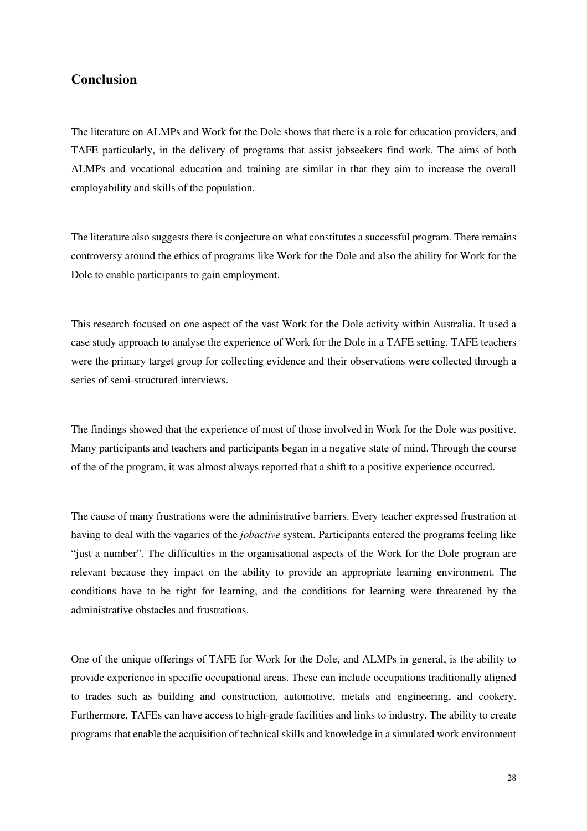# **Conclusion**

The literature on ALMPs and Work for the Dole shows that there is a role for education providers, and TAFE particularly, in the delivery of programs that assist jobseekers find work. The aims of both ALMPs and vocational education and training are similar in that they aim to increase the overall employability and skills of the population.

The literature also suggests there is conjecture on what constitutes a successful program. There remains controversy around the ethics of programs like Work for the Dole and also the ability for Work for the Dole to enable participants to gain employment.

This research focused on one aspect of the vast Work for the Dole activity within Australia. It used a case study approach to analyse the experience of Work for the Dole in a TAFE setting. TAFE teachers were the primary target group for collecting evidence and their observations were collected through a series of semi-structured interviews.

The findings showed that the experience of most of those involved in Work for the Dole was positive. Many participants and teachers and participants began in a negative state of mind. Through the course of the of the program, it was almost always reported that a shift to a positive experience occurred.

The cause of many frustrations were the administrative barriers. Every teacher expressed frustration at having to deal with the vagaries of the *jobactive* system. Participants entered the programs feeling like "just a number". The difficulties in the organisational aspects of the Work for the Dole program are relevant because they impact on the ability to provide an appropriate learning environment. The conditions have to be right for learning, and the conditions for learning were threatened by the administrative obstacles and frustrations.

One of the unique offerings of TAFE for Work for the Dole, and ALMPs in general, is the ability to provide experience in specific occupational areas. These can include occupations traditionally aligned to trades such as building and construction, automotive, metals and engineering, and cookery. Furthermore, TAFEs can have access to high-grade facilities and links to industry. The ability to create programs that enable the acquisition of technical skills and knowledge in a simulated work environment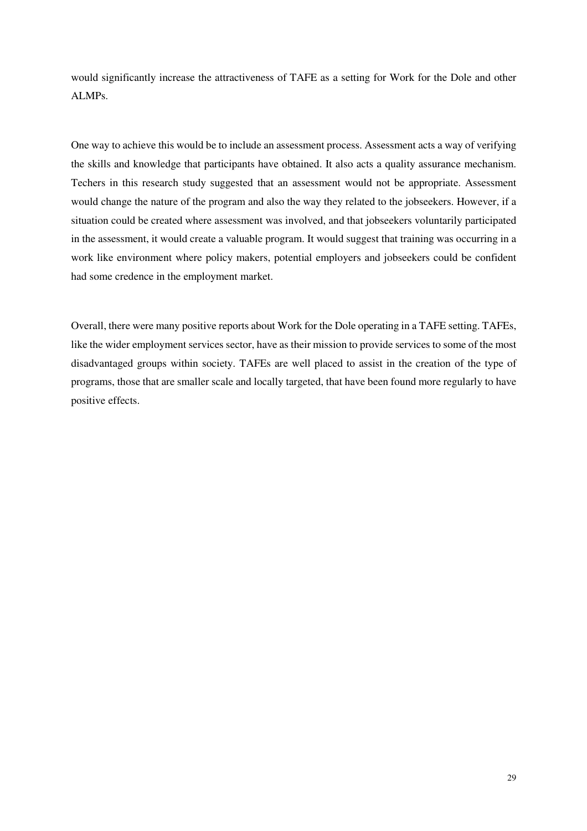would significantly increase the attractiveness of TAFE as a setting for Work for the Dole and other ALMPs.

One way to achieve this would be to include an assessment process. Assessment acts a way of verifying the skills and knowledge that participants have obtained. It also acts a quality assurance mechanism. Techers in this research study suggested that an assessment would not be appropriate. Assessment would change the nature of the program and also the way they related to the jobseekers. However, if a situation could be created where assessment was involved, and that jobseekers voluntarily participated in the assessment, it would create a valuable program. It would suggest that training was occurring in a work like environment where policy makers, potential employers and jobseekers could be confident had some credence in the employment market.

Overall, there were many positive reports about Work for the Dole operating in a TAFE setting. TAFEs, like the wider employment services sector, have as their mission to provide services to some of the most disadvantaged groups within society. TAFEs are well placed to assist in the creation of the type of programs, those that are smaller scale and locally targeted, that have been found more regularly to have positive effects.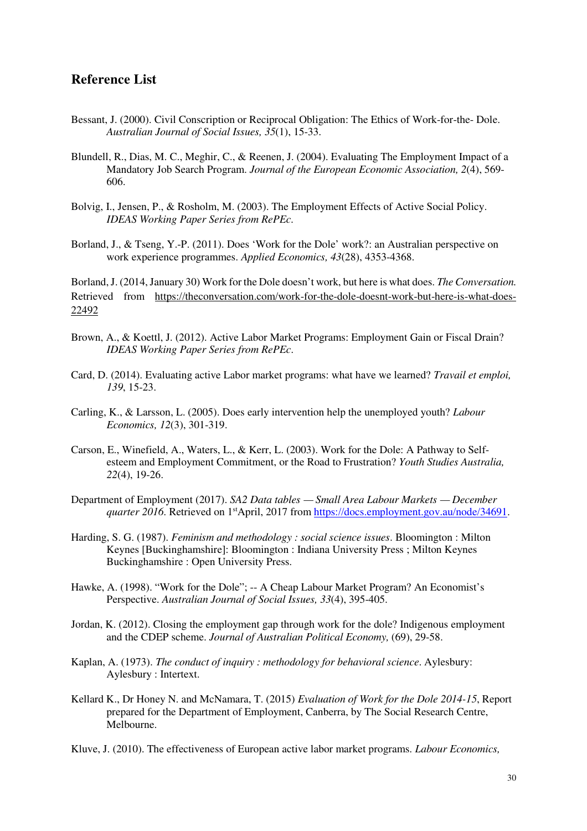## **Reference List**

- Bessant, J. (2000). Civil Conscription or Reciprocal Obligation: The Ethics of Work-for-the- Dole. *Australian Journal of Social Issues, 35*(1), 15-33.
- Blundell, R., Dias, M. C., Meghir, C., & Reenen, J. (2004). Evaluating The Employment Impact of a Mandatory Job Search Program. *Journal of the European Economic Association, 2*(4), 569- 606.
- Bolvig, I., Jensen, P., & Rosholm, M. (2003). The Employment Effects of Active Social Policy. *IDEAS Working Paper Series from RePEc*.
- Borland, J., & Tseng, Y.-P. (2011). Does 'Work for the Dole' work?: an Australian perspective on work experience programmes. *Applied Economics, 43*(28), 4353-4368.

Borland, J. (2014, January 30) Work for the Dole doesn't work, but here is what does. *The Conversation.*  Retrieved from https://theconversation.com/work-for-the-dole-doesnt-work-but-here-is-what-does-22492

- Brown, A., & Koettl, J. (2012). Active Labor Market Programs: Employment Gain or Fiscal Drain? *IDEAS Working Paper Series from RePEc*.
- Card, D. (2014). Evaluating active Labor market programs: what have we learned? *Travail et emploi, 139*, 15-23.
- Carling, K., & Larsson, L. (2005). Does early intervention help the unemployed youth? *Labour Economics, 12*(3), 301-319.
- Carson, E., Winefield, A., Waters, L., & Kerr, L. (2003). Work for the Dole: A Pathway to Selfesteem and Employment Commitment, or the Road to Frustration? *Youth Studies Australia, 22*(4), 19-26.
- Department of Employment (2017). *SA2 Data tables Small Area Labour Markets December quarter 2016*. Retrieved on 1<sup>st</sup>April, 2017 from https://docs.employment.gov.au/node/34691.
- Harding, S. G. (1987). *Feminism and methodology : social science issues*. Bloomington : Milton Keynes [Buckinghamshire]: Bloomington : Indiana University Press ; Milton Keynes Buckinghamshire : Open University Press.
- Hawke, A. (1998). "Work for the Dole"; -- A Cheap Labour Market Program? An Economist's Perspective. *Australian Journal of Social Issues, 33*(4), 395-405.
- Jordan, K. (2012). Closing the employment gap through work for the dole? Indigenous employment and the CDEP scheme. *Journal of Australian Political Economy,* (69), 29-58.
- Kaplan, A. (1973). *The conduct of inquiry : methodology for behavioral science*. Aylesbury: Aylesbury : Intertext.
- Kellard K., Dr Honey N. and McNamara, T. (2015) *Evaluation of Work for the Dole 2014-15*, Report prepared for the Department of Employment, Canberra, by The Social Research Centre, Melbourne.
- Kluve, J. (2010). The effectiveness of European active labor market programs. *Labour Economics,*